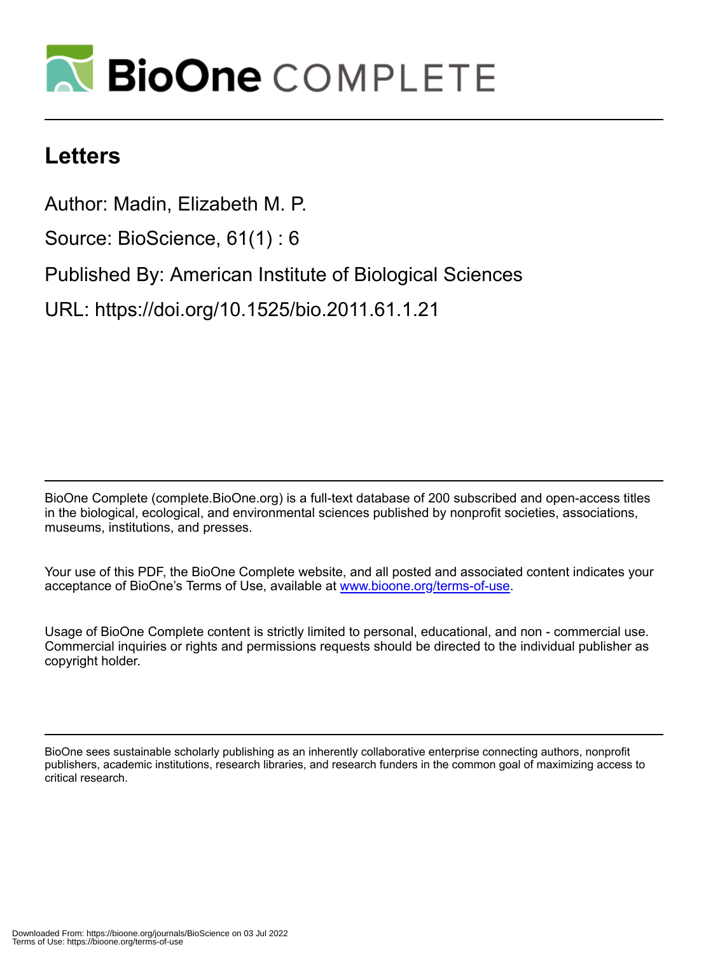

## **Letters**

Author: Madin, Elizabeth M. P.

Source: BioScience, 61(1) : 6

Published By: American Institute of Biological Sciences

URL: https://doi.org/10.1525/bio.2011.61.1.21

BioOne Complete (complete.BioOne.org) is a full-text database of 200 subscribed and open-access titles in the biological, ecological, and environmental sciences published by nonprofit societies, associations, museums, institutions, and presses.

Your use of this PDF, the BioOne Complete website, and all posted and associated content indicates your acceptance of BioOne's Terms of Use, available at www.bioone.org/terms-of-use.

Usage of BioOne Complete content is strictly limited to personal, educational, and non - commercial use. Commercial inquiries or rights and permissions requests should be directed to the individual publisher as copyright holder.

BioOne sees sustainable scholarly publishing as an inherently collaborative enterprise connecting authors, nonprofit publishers, academic institutions, research libraries, and research funders in the common goal of maximizing access to critical research.